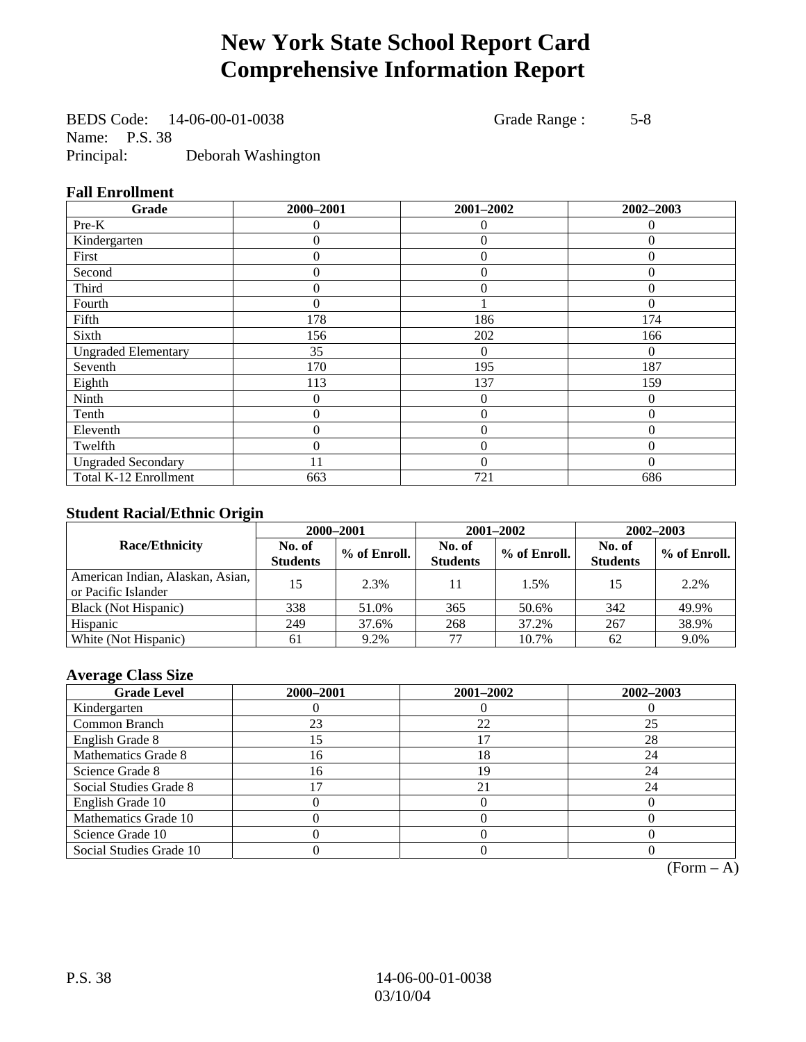# **New York State School Report Card Comprehensive Information Report**

BEDS Code: 14-06-00-01-0038 Grade Range : 5-8 Name: P.S. 38 Principal: Deborah Washington

#### **Fall Enrollment**

| Grade                      | 2000-2001      | 2001-2002      | 2002-2003 |
|----------------------------|----------------|----------------|-----------|
| Pre-K                      | 0              | 0              | $\theta$  |
| Kindergarten               | $\overline{0}$ | $\overline{0}$ | $\theta$  |
| First                      | $\theta$       | $\theta$       | $\Omega$  |
| Second                     | $\theta$       | $\theta$       | $\Omega$  |
| Third                      | 0              | $\theta$       | $\Omega$  |
| Fourth                     | 0              |                | $\Omega$  |
| Fifth                      | 178            | 186            | 174       |
| Sixth                      | 156            | 202            | 166       |
| <b>Ungraded Elementary</b> | 35             | $\Omega$       | $\Omega$  |
| Seventh                    | 170            | 195            | 187       |
| Eighth                     | 113            | 137            | 159       |
| Ninth                      | 0              | $\theta$       | 0         |
| Tenth                      | 0              | $\overline{0}$ | $\theta$  |
| Eleventh                   | 0              | $\theta$       | $\Omega$  |
| Twelfth                    | $\theta$       | $\overline{0}$ | $\Omega$  |
| <b>Ungraded Secondary</b>  | 11             | $\theta$       | $\Omega$  |
| Total K-12 Enrollment      | 663            | 721            | 686       |

#### **Student Racial/Ethnic Origin**

|                                                         | 2000-2001                 |              |                           | 2001-2002    | $2002 - 2003$             |                |
|---------------------------------------------------------|---------------------------|--------------|---------------------------|--------------|---------------------------|----------------|
| <b>Race/Ethnicity</b>                                   | No. of<br><b>Students</b> | % of Enroll. | No. of<br><b>Students</b> | % of Enroll. | No. of<br><b>Students</b> | $%$ of Enroll. |
| American Indian, Alaskan, Asian,<br>or Pacific Islander | 15                        | 2.3%         | 11                        | 1.5%         | 15                        | 2.2%           |
| Black (Not Hispanic)                                    | 338                       | 51.0%        | 365                       | 50.6%        | 342                       | 49.9%          |
| Hispanic                                                | 249                       | 37.6%        | 268                       | 37.2%        | 267                       | 38.9%          |
| White (Not Hispanic)                                    | 61                        | 9.2%         | 77                        | 10.7%        | 62                        | 9.0%           |

#### **Average Class Size**

| <b>Grade Level</b>      | 2000-2001 | 2001-2002 | 2002-2003 |
|-------------------------|-----------|-----------|-----------|
| Kindergarten            |           |           |           |
| Common Branch           | 23        | 22        | 25        |
| English Grade 8         | כו        |           | 28        |
| Mathematics Grade 8     | l6        | 18        | 24        |
| Science Grade 8         | 16        | 19        | 24        |
| Social Studies Grade 8  |           | 21        | 24        |
| English Grade 10        |           |           |           |
| Mathematics Grade 10    |           |           |           |
| Science Grade 10        |           |           |           |
| Social Studies Grade 10 |           |           |           |

 $(Form - A)$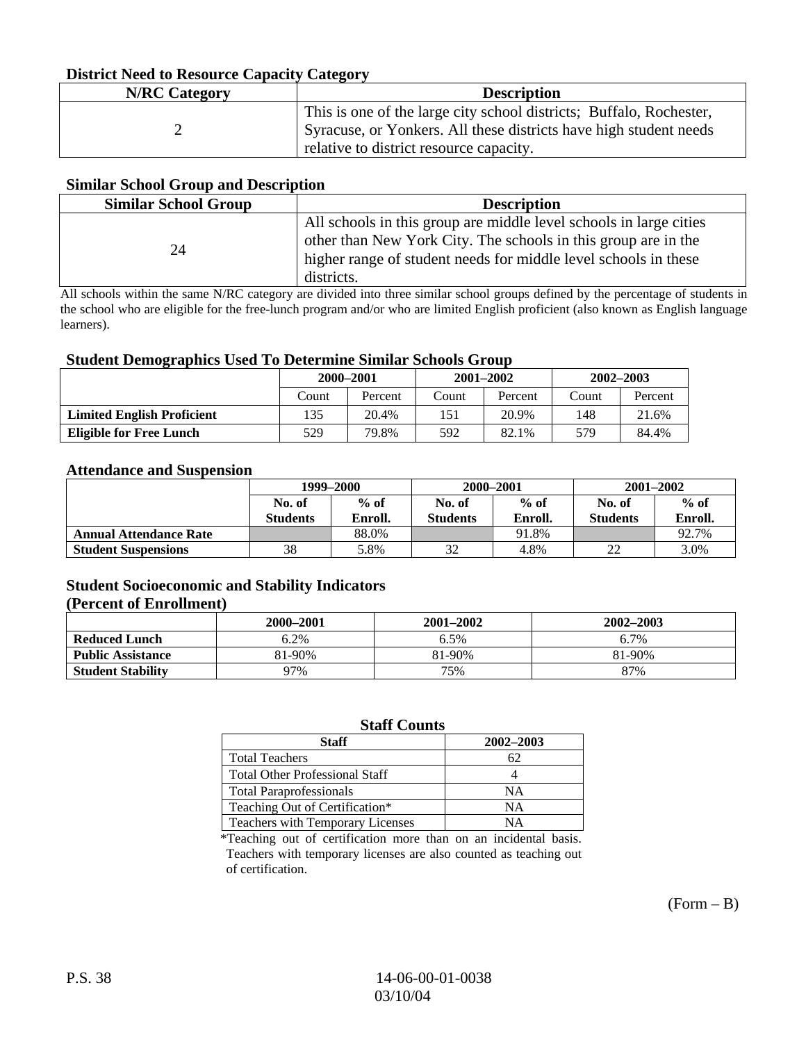#### **District Need to Resource Capacity Category**

| <b>N/RC</b> Category | <b>Description</b>                                                                                                                                                                  |
|----------------------|-------------------------------------------------------------------------------------------------------------------------------------------------------------------------------------|
|                      | This is one of the large city school districts; Buffalo, Rochester,<br>Syracuse, or Yonkers. All these districts have high student needs<br>relative to district resource capacity. |

#### **Similar School Group and Description**

| <b>Similar School Group</b> | <b>Description</b>                                                                                                                                                                                                    |
|-----------------------------|-----------------------------------------------------------------------------------------------------------------------------------------------------------------------------------------------------------------------|
| 24                          | All schools in this group are middle level schools in large cities<br>other than New York City. The schools in this group are in the<br>higher range of student needs for middle level schools in these<br>districts. |

All schools within the same N/RC category are divided into three similar school groups defined by the percentage of students in the school who are eligible for the free-lunch program and/or who are limited English proficient (also known as English language learners).

#### **Student Demographics Used To Determine Similar Schools Group**

| o                                 | 2000–2001 |         | $2001 - 2002$ |         | $2002 - 2003$ |         |
|-----------------------------------|-----------|---------|---------------|---------|---------------|---------|
|                                   | Count     | Percent | Count         | Percent | Count         | Percent |
| <b>Limited English Proficient</b> | 135       | 20.4%   | 151           | 20.9%   | 148           | 21.6%   |
| <b>Eligible for Free Lunch</b>    | 529       | 79.8%   | 592           | 82.1%   | 579           | 84.4%   |

#### **Attendance and Suspension**

|                               | 1999–2000       |         | 2000-2001       |         | $2001 - 2002$   |         |
|-------------------------------|-----------------|---------|-----------------|---------|-----------------|---------|
|                               | No. of          | $%$ of  | No. of          | $%$ of  | No. of          | $%$ of  |
|                               | <b>Students</b> | Enroll. | <b>Students</b> | Enroll. | <b>Students</b> | Enroll. |
| <b>Annual Attendance Rate</b> |                 | 88.0%   |                 | 91.8%   |                 | 92.7%   |
| <b>Student Suspensions</b>    | 38              | 5.8%    | 32              | 4.8%    | ററ<br>∠∠        | 3.0%    |

### **Student Socioeconomic and Stability Indicators**

#### **(Percent of Enrollment)**

|                          | 2000-2001<br>2001-2002 |        | 2002-2003 |
|--------------------------|------------------------|--------|-----------|
| <b>Reduced Lunch</b>     | 6.2%                   | 6.5%   | 6.7%      |
| <b>Public Assistance</b> | 81-90%                 | 81-90% | 81-90%    |
| <b>Student Stability</b> | 97%                    | 75%    | 87%       |

#### **Staff Counts**

| <b>Staff</b>                          | 2002–2003 |
|---------------------------------------|-----------|
| <b>Total Teachers</b>                 |           |
| <b>Total Other Professional Staff</b> |           |
| <b>Total Paraprofessionals</b>        | NΑ        |
| Teaching Out of Certification*        | NΑ        |
| Teachers with Temporary Licenses      | NА        |

\*Teaching out of certification more than on an incidental basis. Teachers with temporary licenses are also counted as teaching out of certification.

 $(Form - B)$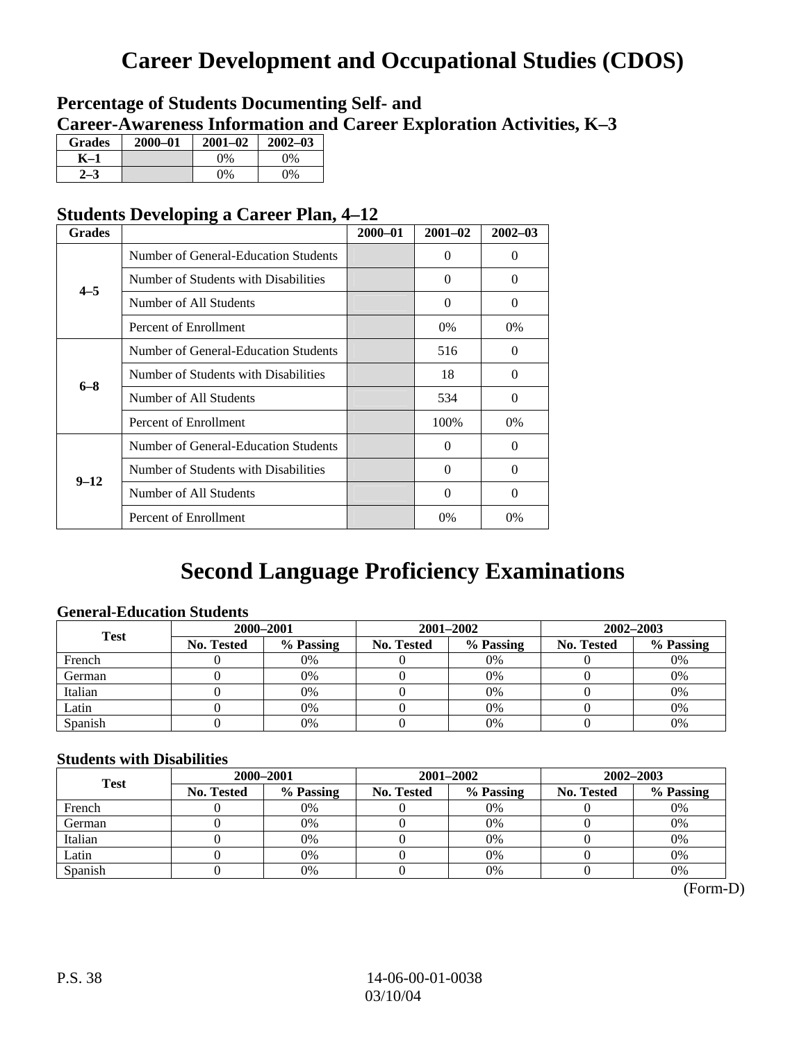# **Career Development and Occupational Studies (CDOS)**

### **Percentage of Students Documenting Self- and Career-Awareness Information and Career Exploration Activities, K–3**

| <b>Grades</b> | $2000 - 01$ | $2001 - 02$ | $2002 - 03$ |
|---------------|-------------|-------------|-------------|
| K-1           |             | 0%          | $0\%$       |
| 72            |             | $0\%$       | $0\%$       |

### **Students Developing a Career Plan, 4–12**

| <b>Grades</b> |                                      | $2000 - 01$ | $2001 - 02$ | $2002 - 03$ |
|---------------|--------------------------------------|-------------|-------------|-------------|
|               | Number of General-Education Students |             | 0           | 0           |
| $4 - 5$       | Number of Students with Disabilities |             | 0           | 0           |
|               | Number of All Students               |             | 0           | 0           |
|               | Percent of Enrollment                |             | $0\%$       | $0\%$       |
|               | Number of General-Education Students |             | 516         | $\Omega$    |
| $6 - 8$       | Number of Students with Disabilities |             | 18          | $\Omega$    |
|               | Number of All Students               |             | 534         | $\Omega$    |
|               | Percent of Enrollment                |             | 100%        | $0\%$       |
|               | Number of General-Education Students |             | 0           | 0           |
| $9 - 12$      | Number of Students with Disabilities |             | $\Omega$    | $\Omega$    |
|               | Number of All Students               |             | $\Omega$    | 0           |
|               | Percent of Enrollment                |             | 0%          | $0\%$       |

## **Second Language Proficiency Examinations**

### **General-Education Students**

| <b>Test</b> | 2000–2001         |           |            | 2001-2002 | 2002-2003  |           |
|-------------|-------------------|-----------|------------|-----------|------------|-----------|
|             | <b>No. Tested</b> | % Passing | No. Tested | % Passing | No. Tested | % Passing |
| French      |                   | 0%        |            | $0\%$     |            | 0%        |
| German      |                   | 0%        |            | $0\%$     |            | 0%        |
| Italian     |                   | 0%        |            | $0\%$     |            | 0%        |
| Latin       |                   | 0%        |            | $0\%$     |            | 0%        |
| Spanish     |                   | 0%        |            | 0%        |            | 0%        |

#### **Students with Disabilities**

| <b>Test</b> | 2000-2001         |           |            | 2001-2002 | 2002-2003  |           |  |
|-------------|-------------------|-----------|------------|-----------|------------|-----------|--|
|             | <b>No. Tested</b> | % Passing | No. Tested | % Passing | No. Tested | % Passing |  |
| French      |                   | 0%        |            | 0%        |            | 0%        |  |
| German      |                   | 0%        |            | 0%        |            | 0%        |  |
| Italian     |                   | 0%        |            | $0\%$     |            | 0%        |  |
| Latin       |                   | 0%        |            | 0%        |            | 0%        |  |
| Spanish     |                   | 0%        |            | 0%        |            | 0%        |  |

 <sup>(</sup>Form-D)